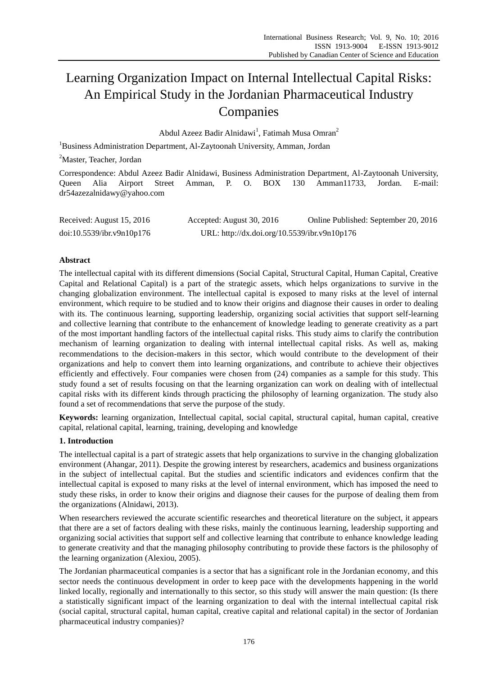# Learning Organization Impact on Internal Intellectual Capital Risks: An Empirical Study in the Jordanian Pharmaceutical Industry Companies

Abdul Azeez Badir Alnidawi<sup>1</sup>, Fatimah Musa Omran<sup>2</sup>

<sup>1</sup>Business Administration Department, Al-Zaytoonah University, Amman, Jordan

<sup>2</sup>Master, Teacher, Jordan

Correspondence: Abdul Azeez Badir Alnidawi, Business Administration Department, Al-Zaytoonah University, Queen Alia Airport Street Amman, P. O. BOX 130 Amman11733, Jordan. E-mail: dr54azezalnidawy@yahoo.com

| Received: August 15, 2016 | Accepted: August 30, 2016                    | Online Published: September 20, 2016 |
|---------------------------|----------------------------------------------|--------------------------------------|
| doi:10.5539/ibr.v9n10p176 | URL: http://dx.doi.org/10.5539/ibr.v9n10p176 |                                      |

# **Abstract**

The intellectual capital with its different dimensions (Social Capital, Structural Capital, Human Capital, Creative Capital and Relational Capital) is a part of the strategic assets, which helps organizations to survive in the changing globalization environment. The intellectual capital is exposed to many risks at the level of internal environment, which require to be studied and to know their origins and diagnose their causes in order to dealing with its. The continuous learning, supporting leadership, organizing social activities that support self-learning and collective learning that contribute to the enhancement of knowledge leading to generate creativity as a part of the most important handling factors of the intellectual capital risks. This study aims to clarify the contribution mechanism of learning organization to dealing with internal intellectual capital risks. As well as, making recommendations to the decision-makers in this sector, which would contribute to the development of their organizations and help to convert them into learning organizations, and contribute to achieve their objectives efficiently and effectively. Four companies were chosen from (24) companies as a sample for this study. This study found a set of results focusing on that the learning organization can work on dealing with of intellectual capital risks with its different kinds through practicing the philosophy of learning organization. The study also found a set of recommendations that serve the purpose of the study.

**Keywords:** learning organization, Intellectual capital, social capital, structural capital, human capital, creative capital, relational capital, learning, training, developing and knowledge

## **1. Introduction**

The intellectual capital is a part of strategic assets that help organizations to survive in the changing globalization environment (Ahangar, 2011). Despite the growing interest by researchers, academics and business organizations in the subject of intellectual capital. But the studies and scientific indicators and evidences confirm that the intellectual capital is exposed to many risks at the level of internal environment, which has imposed the need to study these risks, in order to know their origins and diagnose their causes for the purpose of dealing them from the organizations (Alnidawi, 2013).

When researchers reviewed the accurate scientific researches and theoretical literature on the subject, it appears that there are a set of factors dealing with these risks, mainly the continuous learning, leadership supporting and organizing social activities that support self and collective learning that contribute to enhance knowledge leading to generate creativity and that the managing philosophy contributing to provide these factors is the philosophy of the learning organization (Alexiou, 2005).

The Jordanian pharmaceutical companies is a sector that has a significant role in the Jordanian economy, and this sector needs the continuous development in order to keep pace with the developments happening in the world linked locally, regionally and internationally to this sector, so this study will answer the main question: (Is there a statistically significant impact of the learning organization to deal with the internal intellectual capital risk (social capital, structural capital, human capital, creative capital and relational capital) in the sector of Jordanian pharmaceutical industry companies)?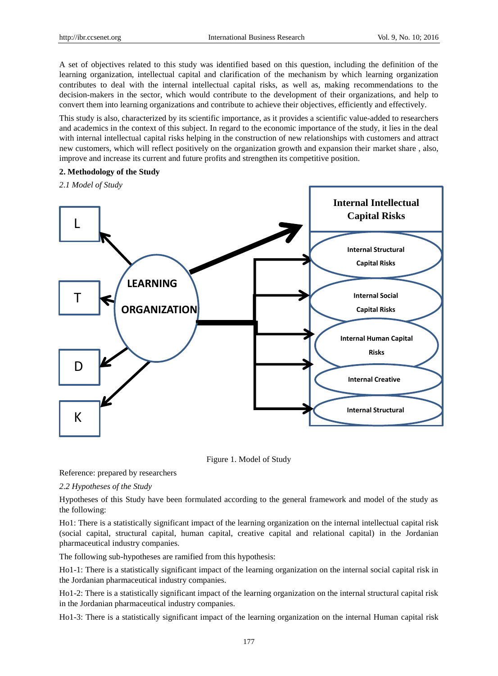A set of objectives related to this study was identified based on this question, including the definition of the learning organization, intellectual capital and clarification of the mechanism by which learning organization contributes to deal with the internal intellectual capital risks, as well as, making recommendations to the decision-makers in the sector, which would contribute to the development of their organizations, and help to convert them into learning organizations and contribute to achieve their objectives, efficiently and effectively.

This study is also, characterized by its scientific importance, as it provides a scientific value-added to researchers and academics in the context of this subject. In regard to the economic importance of the study, it lies in the deal with internal intellectual capital risks helping in the construction of new relationships with customers and attract new customers, which will reflect positively on the organization growth and expansion their market share , also, improve and increase its current and future profits and strengthen its competitive position.

#### **2. Methodology of the Study**

*2.1 Model of Study* 



Figure 1. Model of Study

Reference: prepared by researchers

*2.2 Hypotheses of the Study*

Hypotheses of this Study have been formulated according to the general framework and model of the study as the following:

Ho1: There is a statistically significant impact of the learning organization on the internal intellectual capital risk (social capital, structural capital, human capital, creative capital and relational capital) in the Jordanian pharmaceutical industry companies.

The following sub-hypotheses are ramified from this hypothesis:

Ho1-1: There is a statistically significant impact of the learning organization on the internal social capital risk in the Jordanian pharmaceutical industry companies.

Ho1-2: There is a statistically significant impact of the learning organization on the internal structural capital risk in the Jordanian pharmaceutical industry companies.

Ho1-3: There is a statistically significant impact of the learning organization on the internal Human capital risk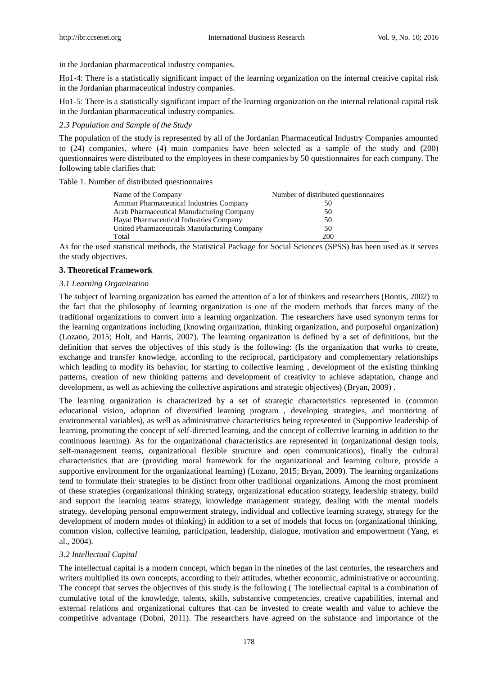in the Jordanian pharmaceutical industry companies.

Ho1-4: There is a statistically significant impact of the learning organization on the internal creative capital risk in the Jordanian pharmaceutical industry companies.

Ho1-5: There is a statistically significant impact of the learning organization on the internal relational capital risk in the Jordanian pharmaceutical industry companies.

#### *2.3 Population and Sample of the Study*

The population of the study is represented by all of the Jordanian Pharmaceutical Industry Companies amounted to (24) companies, where (4) main companies have been selected as a sample of the study and (200) questionnaires were distributed to the employees in these companies by 50 questionnaires for each company. The following table clarifies that:

Table 1. Number of distributed questionnaires

| Name of the Company                          | Number of distributed question aires |
|----------------------------------------------|--------------------------------------|
| Amman Pharmaceutical Industries Company      | 50                                   |
| Arab Pharmaceutical Manufacturing Company    | 50                                   |
| Hayat Pharmaceutical Industries Company      | 50                                   |
| United Pharmaceuticals Manufacturing Company | 50                                   |
| Total                                        | 200                                  |

As for the used statistical methods, the Statistical Package for Social Sciences (SPSS) has been used as it serves the study objectives.

## **3. Theoretical Framework**

## *3.1 Learning Organization*

The subject of learning organization has earned the attention of a lot of thinkers and researchers (Bontis, 2002) to the fact that the philosophy of learning organization is one of the modern methods that forces many of the traditional organizations to convert into a learning organization. The researchers have used synonym terms for the learning organizations including (knowing organization, thinking organization, and purposeful organization) (Lozano, 2015; Holt, and Harris, 2007). The learning organization is defined by a set of definitions, but the definition that serves the objectives of this study is the following: (Is the organization that works to create, exchange and transfer knowledge, according to the reciprocal, participatory and complementary relationships which leading to modify its behavior, for starting to collective learning, development of the existing thinking patterns, creation of new thinking patterns and development of creativity to achieve adaptation, change and development, as well as achieving the collective aspirations and strategic objectives) (Bryan, 2009) .

The learning organization is characterized by a set of strategic characteristics represented in (common educational vision, adoption of diversified learning program , developing strategies, and monitoring of environmental variables), as well as administrative characteristics being represented in (Supportive leadership of learning, promoting the concept of self-directed learning, and the concept of collective learning in addition to the continuous learning). As for the organizational characteristics are represented in (organizational design tools, self-management teams, organizational flexible structure and open communications), finally the cultural characteristics that are (providing moral framework for the organizational and learning culture, provide a supportive environment for the organizational learning) (Lozano, 2015; Bryan, 2009). The learning organizations tend to formulate their strategies to be distinct from other traditional organizations. Among the most prominent of these strategies (organizational thinking strategy, organizational education strategy, leadership strategy, build and support the learning teams strategy, knowledge management strategy, dealing with the mental models strategy, developing personal empowerment strategy, individual and collective learning strategy, strategy for the development of modern modes of thinking) in addition to a set of models that focus on (organizational thinking, common vision, collective learning, participation, leadership, dialogue, motivation and empowerment (Yang, et al., 2004).

## *3.2 Intellectual Capital*

The intellectual capital is a modern concept, which began in the nineties of the last centuries, the researchers and writers multiplied its own concepts, according to their attitudes, whether economic, administrative or accounting. The concept that serves the objectives of this study is the following ( The intellectual capital is a combination of cumulative total of the knowledge, talents, skills, substantive competencies, creative capabilities, internal and external relations and organizational cultures that can be invested to create wealth and value to achieve the competitive advantage (Dobni, 2011). The researchers have agreed on the substance and importance of the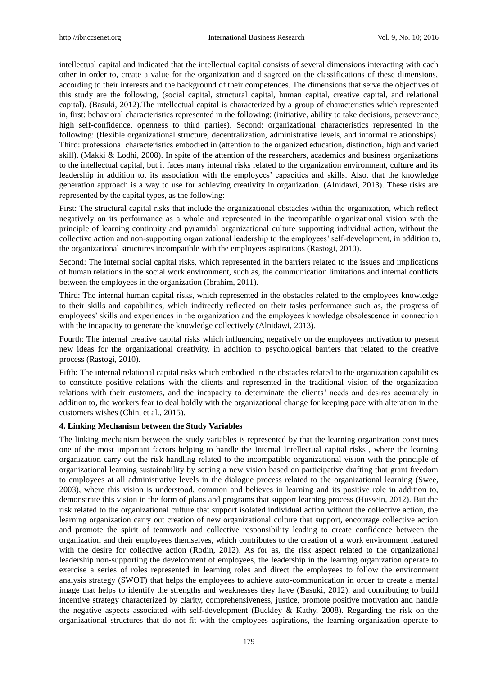intellectual capital and indicated that the intellectual capital consists of several dimensions interacting with each other in order to, create a value for the organization and disagreed on the classifications of these dimensions, according to their interests and the background of their competences. The dimensions that serve the objectives of this study are the following, (social capital, structural capital, human capital, creative capital, and relational capital). (Basuki, 2012).The intellectual capital is characterized by a group of characteristics which represented in, first: behavioral characteristics represented in the following: (initiative, ability to take decisions, perseverance, high self-confidence, openness to third parties). Second: organizational characteristics represented in the following: (flexible organizational structure, decentralization, administrative levels, and informal relationships). Third: professional characteristics embodied in (attention to the organized education, distinction, high and varied skill). (Makki & Lodhi, 2008). In spite of the attention of the researchers, academics and business organizations to the intellectual capital, but it faces many internal risks related to the organization environment, culture and its leadership in addition to, its association with the employees' capacities and skills. Also, that the knowledge generation approach is a way to use for achieving creativity in organization. (Alnidawi, 2013). These risks are represented by the capital types, as the following:

First: The structural capital risks that include the organizational obstacles within the organization, which reflect negatively on its performance as a whole and represented in the incompatible organizational vision with the principle of learning continuity and pyramidal organizational culture supporting individual action, without the collective action and non-supporting organizational leadership to the employees' self-development, in addition to, the organizational structures incompatible with the employees aspirations (Rastogi, 2010).

Second: The internal social capital risks, which represented in the barriers related to the issues and implications of human relations in the social work environment, such as, the communication limitations and internal conflicts between the employees in the organization (Ibrahim, 2011).

Third: The internal human capital risks, which represented in the obstacles related to the employees knowledge to their skills and capabilities, which indirectly reflected on their tasks performance such as, the progress of employees' skills and experiences in the organization and the employees knowledge obsolescence in connection with the incapacity to generate the knowledge collectively (Alnidawi, 2013).

Fourth: The internal creative capital risks which influencing negatively on the employees motivation to present new ideas for the organizational creativity, in addition to psychological barriers that related to the creative process (Rastogi, 2010).

Fifth: The internal relational capital risks which embodied in the obstacles related to the organization capabilities to constitute positive relations with the clients and represented in the traditional vision of the organization relations with their customers, and the incapacity to determinate the clients' needs and desires accurately in addition to, the workers fear to deal boldly with the organizational change for keeping pace with alteration in the customers wishes (Chin, et al., 2015).

#### **4. Linking Mechanism between the Study Variables**

The linking mechanism between the study variables is represented by that the learning organization constitutes one of the most important factors helping to handle the Internal Intellectual capital risks , where the learning organization carry out the risk handling related to the incompatible organizational vision with the principle of organizational learning sustainability by setting a new vision based on participative drafting that grant freedom to employees at all administrative levels in the dialogue process related to the organizational learning (Swee, 2003), where this vision is understood, common and believes in learning and its positive role in addition to, demonstrate this vision in the form of plans and programs that support learning process (Hussein, 2012). But the risk related to the organizational culture that support isolated individual action without the collective action, the learning organization carry out creation of new organizational culture that support, encourage collective action and promote the spirit of teamwork and collective responsibility leading to create confidence between the organization and their employees themselves, which contributes to the creation of a work environment featured with the desire for collective action (Rodin, 2012). As for as, the risk aspect related to the organizational leadership non-supporting the development of employees, the leadership in the learning organization operate to exercise a series of roles represented in learning roles and direct the employees to follow the environment analysis strategy (SWOT) that helps the employees to achieve auto-communication in order to create a mental image that helps to identify the strengths and weaknesses they have (Basuki, 2012), and contributing to build incentive strategy characterized by clarity, comprehensiveness, justice, promote positive motivation and handle the negative aspects associated with self-development (Buckley & Kathy, 2008). Regarding the risk on the organizational structures that do not fit with the employees aspirations, the learning organization operate to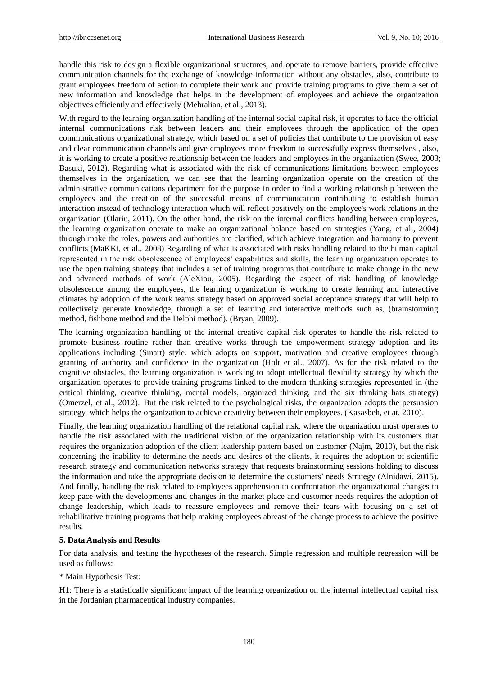handle this risk to design a flexible organizational structures, and operate to remove barriers, provide effective communication channels for the exchange of knowledge information without any obstacles, also, contribute to grant employees freedom of action to complete their work and provide training programs to give them a set of new information and knowledge that helps in the development of employees and achieve the organization objectives efficiently and effectively (Mehralian, et al., 2013).

With regard to the learning organization handling of the internal social capital risk, it operates to face the official internal communications risk between leaders and their employees through the application of the open communications organizational strategy, which based on a set of policies that contribute to the provision of easy and clear communication channels and give employees more freedom to successfully express themselves , also, it is working to create a positive relationship between the leaders and employees in the organization (Swee, 2003; Basuki, 2012). Regarding what is associated with the risk of communications limitations between employees themselves in the organization, we can see that the learning organization operate on the creation of the administrative communications department for the purpose in order to find a working relationship between the employees and the creation of the successful means of communication contributing to establish human interaction instead of technology interaction which will reflect positively on the employee's work relations in the organization (Olariu, 2011). On the other hand, the risk on the internal conflicts handling between employees, the learning organization operate to make an organizational balance based on strategies (Yang, et al., 2004) through make the roles, powers and authorities are clarified, which achieve integration and harmony to prevent conflicts (MaKKi, et al., 2008) Regarding of what is associated with risks handling related to the human capital represented in the risk obsolescence of employees' capabilities and skills, the learning organization operates to use the open training strategy that includes a set of training programs that contribute to make change in the new and advanced methods of work (AleXiou, 2005). Regarding the aspect of risk handling of knowledge obsolescence among the employees, the learning organization is working to create learning and interactive climates by adoption of the work teams strategy based on approved social acceptance strategy that will help to collectively generate knowledge, through a set of learning and interactive methods such as, (brainstorming method, fishbone method and the Delphi method). (Bryan, 2009).

The learning organization handling of the internal creative capital risk operates to handle the risk related to promote business routine rather than creative works through the empowerment strategy adoption and its applications including (Smart) style, which adopts on support, motivation and creative employees through granting of authority and confidence in the organization (Holt et al., 2007). As for the risk related to the cognitive obstacles, the learning organization is working to adopt intellectual flexibility strategy by which the organization operates to provide training programs linked to the modern thinking strategies represented in (the critical thinking, creative thinking, mental models, organized thinking, and the six thinking hats strategy) (Omerzel, et al., 2012). But the risk related to the psychological risks, the organization adopts the persuasion strategy, which helps the organization to achieve creativity between their employees. (Kasasbeh, et at, 2010).

Finally, the learning organization handling of the relational capital risk, where the organization must operates to handle the risk associated with the traditional vision of the organization relationship with its customers that requires the organization adoption of the client leadership pattern based on customer (Najm, 2010), but the risk concerning the inability to determine the needs and desires of the clients, it requires the adoption of scientific research strategy and communication networks strategy that requests brainstorming sessions holding to discuss the information and take the appropriate decision to determine the customers' needs Strategy (Alnidawi, 2015). And finally, handling the risk related to employees apprehension to confrontation the organizational changes to keep pace with the developments and changes in the market place and customer needs requires the adoption of change leadership, which leads to reassure employees and remove their fears with focusing on a set of rehabilitative training programs that help making employees abreast of the change process to achieve the positive results.

#### **5. Data Analysis and Results**

For data analysis, and testing the hypotheses of the research. Simple regression and multiple regression will be used as follows:

#### \* Main Hypothesis Test:

H1: There is a statistically significant impact of the learning organization on the internal intellectual capital risk in the Jordanian pharmaceutical industry companies.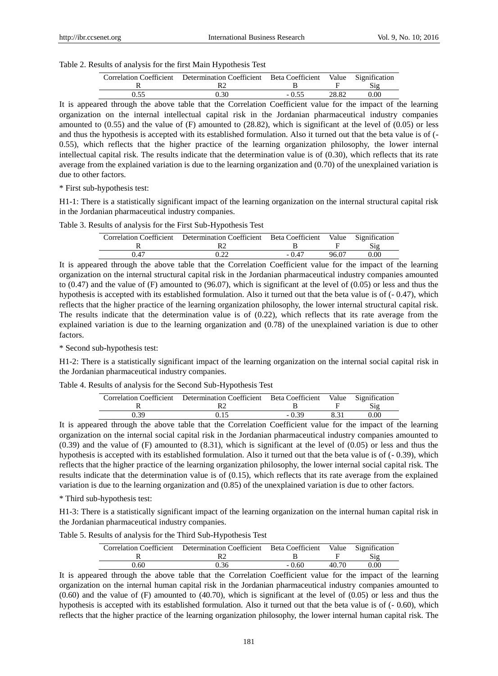Table 2. Results of analysis for the first Main Hypothesis Test

|      | Correlation Coefficient Determination Coefficient Beta Coefficient Value Signification |       |             |
|------|----------------------------------------------------------------------------------------|-------|-------------|
|      |                                                                                        |       | $S_1\sigma$ |
| 0.55 | 0.30                                                                                   | 28.82 | 0.00        |

It is appeared through the above table that the Correlation Coefficient value for the impact of the learning organization on the internal intellectual capital risk in the Jordanian pharmaceutical industry companies amounted to  $(0.55)$  and the value of  $(F)$  amounted to  $(28.82)$ , which is significant at the level of  $(0.05)$  or less and thus the hypothesis is accepted with its established formulation. Also it turned out that the beta value is of (- 0.55), which reflects that the higher practice of the learning organization philosophy, the lower internal intellectual capital risk. The results indicate that the determination value is of (0.30), which reflects that its rate average from the explained variation is due to the learning organization and (0.70) of the unexplained variation is due to other factors.

\* First sub-hypothesis test:

H1-1: There is a statistically significant impact of the learning organization on the internal structural capital risk in the Jordanian pharmaceutical industry companies.

Table 3. Results of analysis for the First Sub-Hypothesis Test

|      | Correlation Coefficient Determination Coefficient Beta Coefficient Value Signification |         |       |      |
|------|----------------------------------------------------------------------------------------|---------|-------|------|
|      |                                                                                        |         |       |      |
| በ 47 | 0.22                                                                                   | $-0.47$ | 96.07 | 0.00 |
|      | .                                                                                      |         |       |      |

It is appeared through the above table that the Correlation Coefficient value for the impact of the learning organization on the internal structural capital risk in the Jordanian pharmaceutical industry companies amounted to  $(0.47)$  and the value of (F) amounted to  $(96.07)$ , which is significant at the level of  $(0.05)$  or less and thus the hypothesis is accepted with its established formulation. Also it turned out that the beta value is of (- 0.47), which reflects that the higher practice of the learning organization philosophy, the lower internal structural capital risk. The results indicate that the determination value is of (0.22), which reflects that its rate average from the explained variation is due to the learning organization and (0.78) of the unexplained variation is due to other factors.

\* Second sub-hypothesis test:

H1-2: There is a statistically significant impact of the learning organization on the internal social capital risk in the Jordanian pharmaceutical industry companies.

Table 4. Results of analysis for the Second Sub-Hypothesis Test

|      | Correlation Coefficient Determination Coefficient Beta Coefficient Value Signification |         |          |
|------|----------------------------------------------------------------------------------------|---------|----------|
|      |                                                                                        |         |          |
| 0.39 | 0.15                                                                                   | $-0.39$ | $0.00 -$ |

It is appeared through the above table that the Correlation Coefficient value for the impact of the learning organization on the internal social capital risk in the Jordanian pharmaceutical industry companies amounted to  $(0.39)$  and the value of  $(F)$  amounted to  $(8.31)$ , which is significant at the level of  $(0.05)$  or less and thus the hypothesis is accepted with its established formulation. Also it turned out that the beta value is of (- 0.39), which reflects that the higher practice of the learning organization philosophy, the lower internal social capital risk. The results indicate that the determination value is of (0.15), which reflects that its rate average from the explained variation is due to the learning organization and (0.85) of the unexplained variation is due to other factors.

\* Third sub-hypothesis test:

H1-3: There is a statistically significant impact of the learning organization on the internal human capital risk in the Jordanian pharmaceutical industry companies.

Table 5. Results of analysis for the Third Sub-Hypothesis Test

|      | Correlation Coefficient Determination Coefficient Beta Coefficient Value Signification |         |       |      |
|------|----------------------------------------------------------------------------------------|---------|-------|------|
|      |                                                                                        |         |       |      |
| 0.60 | 236                                                                                    | $-0.60$ | 40.70 | 0.00 |

It is appeared through the above table that the Correlation Coefficient value for the impact of the learning organization on the internal human capital risk in the Jordanian pharmaceutical industry companies amounted to  $(0.60)$  and the value of  $(F)$  amounted to  $(40.70)$ , which is significant at the level of  $(0.05)$  or less and thus the hypothesis is accepted with its established formulation. Also it turned out that the beta value is of (- 0.60), which reflects that the higher practice of the learning organization philosophy, the lower internal human capital risk. The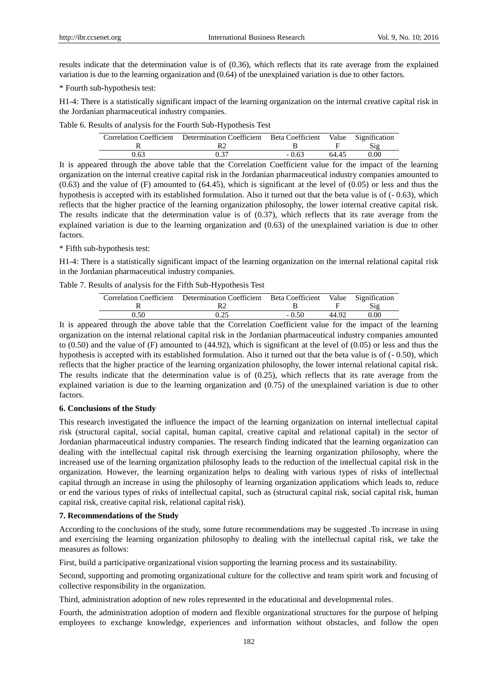results indicate that the determination value is of (0.36), which reflects that its rate average from the explained variation is due to the learning organization and (0.64) of the unexplained variation is due to other factors.

\* Fourth sub-hypothesis test:

H1-4: There is a statistically significant impact of the learning organization on the internal creative capital risk in the Jordanian pharmaceutical industry companies.

Table 6. Results of analysis for the Fourth Sub-Hypothesis Test

|      | Correlation Coefficient Determination Coefficient Beta Coefficient |         |       | Value Signification |
|------|--------------------------------------------------------------------|---------|-------|---------------------|
|      |                                                                    |         |       | Sig                 |
| 0.63 | በ 37                                                               | $-0.63$ | 64.45 | $0.00 -$            |
|      | .<br>__                                                            | $\sim$  |       |                     |

It is appeared through the above table that the Correlation Coefficient value for the impact of the learning organization on the internal creative capital risk in the Jordanian pharmaceutical industry companies amounted to  $(0.63)$  and the value of  $(F)$  amounted to  $(64.45)$ , which is significant at the level of  $(0.05)$  or less and thus the hypothesis is accepted with its established formulation. Also it turned out that the beta value is of (- 0.63), which reflects that the higher practice of the learning organization philosophy, the lower internal creative capital risk. The results indicate that the determination value is of (0.37), which reflects that its rate average from the explained variation is due to the learning organization and (0.63) of the unexplained variation is due to other factors.

\* Fifth sub-hypothesis test:

H1-4: There is a statistically significant impact of the learning organization on the internal relational capital risk in the Jordanian pharmaceutical industry companies.

Table 7. Results of analysis for the Fifth Sub-Hypothesis Test

|      | Correlation Coefficient Determination Coefficient Beta Coefficient Value Signification |         |       |      |
|------|----------------------------------------------------------------------------------------|---------|-------|------|
|      |                                                                                        |         |       |      |
| 0.50 | 0.25                                                                                   | $-0.50$ | 44.92 | 0.00 |

It is appeared through the above table that the Correlation Coefficient value for the impact of the learning organization on the internal relational capital risk in the Jordanian pharmaceutical industry companies amounted to  $(0.50)$  and the value of  $(F)$  amounted to  $(44.92)$ , which is significant at the level of  $(0.05)$  or less and thus the hypothesis is accepted with its established formulation. Also it turned out that the beta value is of (- 0.50), which reflects that the higher practice of the learning organization philosophy, the lower internal relational capital risk. The results indicate that the determination value is of (0.25), which reflects that its rate average from the explained variation is due to the learning organization and (0.75) of the unexplained variation is due to other factors.

# **6. Conclusions of the Study**

This research investigated the influence the impact of the learning organization on internal intellectual capital risk (structural capital, social capital, human capital, creative capital and relational capital) in the sector of Jordanian pharmaceutical industry companies. The research finding indicated that the learning organization can dealing with the intellectual capital risk through exercising the learning organization philosophy, where the increased use of the learning organization philosophy leads to the reduction of the intellectual capital risk in the organization. However, the learning organization helps to dealing with various types of risks of intellectual capital through an increase in using the philosophy of learning organization applications which leads to, reduce or end the various types of risks of intellectual capital, such as (structural capital risk, social capital risk, human capital risk, creative capital risk, relational capital risk).

# **7. Recommendations of the Study**

According to the conclusions of the study, some future recommendations may be suggested .To increase in using and exercising the learning organization philosophy to dealing with the intellectual capital risk, we take the measures as follows:

First, build a participative organizational vision supporting the learning process and its sustainability.

Second, supporting and promoting organizational culture for the collective and team spirit work and focusing of collective responsibility in the organization.

Third, administration adoption of new roles represented in the educational and developmental roles.

Fourth, the administration adoption of modern and flexible organizational structures for the purpose of helping employees to exchange knowledge, experiences and information without obstacles, and follow the open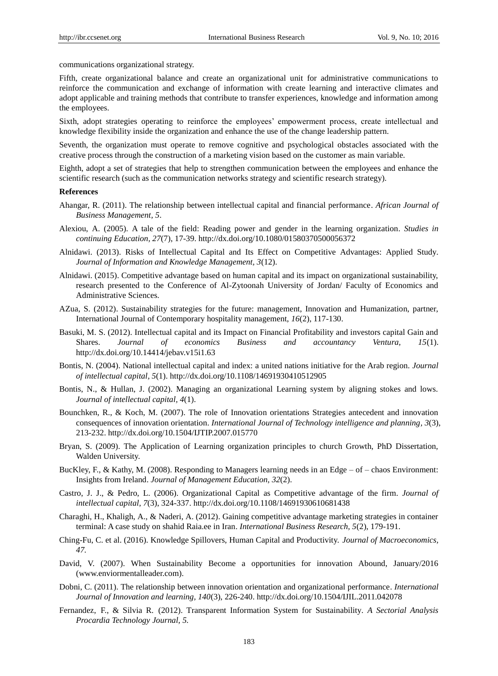communications organizational strategy.

Fifth, create organizational balance and create an organizational unit for administrative communications to reinforce the communication and exchange of information with create learning and interactive climates and adopt applicable and training methods that contribute to transfer experiences, knowledge and information among the employees.

Sixth, adopt strategies operating to reinforce the employees' empowerment process, create intellectual and knowledge flexibility inside the organization and enhance the use of the change leadership pattern.

Seventh, the organization must operate to remove cognitive and psychological obstacles associated with the creative process through the construction of a marketing vision based on the customer as main variable.

Eighth, adopt a set of strategies that help to strengthen communication between the employees and enhance the scientific research (such as the communication networks strategy and scientific research strategy).

#### **References**

- Ahangar, R. (2011). The relationship between intellectual capital and financial performance. *African Journal of Business Management, 5*.
- Alexiou, A. (2005). A tale of the field: Reading power and gender in the learning organization. *Studies in continuing Education, 27*(7), 17-39. <http://dx.doi.org/10.1080/01580370500056372>
- Alnidawi. (2013). Risks of Intellectual Capital and Its Effect on Competitive Advantages: Applied Study. *Journal of Information and Knowledge Management, 3*(12).
- Alnidawi. (2015). Competitive advantage based on human capital and its impact on organizational sustainability, research presented to the Conference of Al-Zytoonah University of Jordan/ Faculty of Economics and Administrative Sciences.
- AZua, S. (2012). Sustainability strategies for the future: management, Innovation and Humanization, partner, International Journal of Contemporary hospitality management, *16*(2), 117-130.
- Basuki, M. S. (2012). Intellectual capital and its Impact on Financial Profitability and investors capital Gain and Shares. *Journal of economics Business and accountancy Ventura, 15*(1). <http://dx.doi.org/10.14414/jebav.v15i1.63>
- Bontis, N. (2004). National intellectual capital and index: a united nations initiative for the Arab region. *Journal of intellectual capital, 5*(1). <http://dx.doi.org/10.1108/14691930410512905>
- Bontis, N., & Hullan, J. (2002). Managing an organizational Learning system by aligning stokes and lows. *Journal of intellectual capital, 4*(1).
- Bounchken, R., & Koch, M. (2007). The role of Innovation orientations Strategies antecedent and innovation consequences of innovation orientation. *International Journal of Technology intelligence and planning, 3*(3), 213-232.<http://dx.doi.org/10.1504/IJTIP.2007.015770>
- Bryan, S. (2009). The Application of Learning organization principles to church Growth, PhD Dissertation, Walden University.
- BucKley, F., & Kathy, M. (2008). Responding to Managers learning needs in an Edge of chaos Environment: Insights from Ireland. *Journal of Management Education, 32*(2).
- Castro, J. J., & Pedro, L. (2006). Organizational Capital as Competitive advantage of the firm. *Journal of intellectual capital, 7*(3), 324-337. <http://dx.doi.org/10.1108/14691930610681438>
- Charaghi, H., Khaligh, A., & Naderi, A. (2012). Gaining competitive advantage marketing strategies in container terminal: A case study on shahid Raia.ee in Iran. *International Business Research, 5*(2), 179-191.
- Ching-Fu, C. et al. (2016). Knowledge Spillovers, Human Capital and Productivity. *Journal of Macroeconomics, 47.*
- David, V. (2007). When Sustainability Become a opportunities for innovation Abound, January/2016 (www.enviormentalleader.com).
- Dobni, C. (2011). The relationship between innovation orientation and organizational performance. *International Journal of Innovation and learning, 140*(3), 226-240.<http://dx.doi.org/10.1504/IJIL.2011.042078>
- [Fernandez,](http://www.sciencedirect.com/science/article/pii/S2212017312004355) F., & Silvia R. (2012). Transparent Information System for Sustainability. *A Sectorial Analysis Procardia [Technology](http://www.sciencedirect.com/science/journal/22120173) Journal, [5.](http://www.sciencedirect.com/science/journal/22120173/5/supp/C)*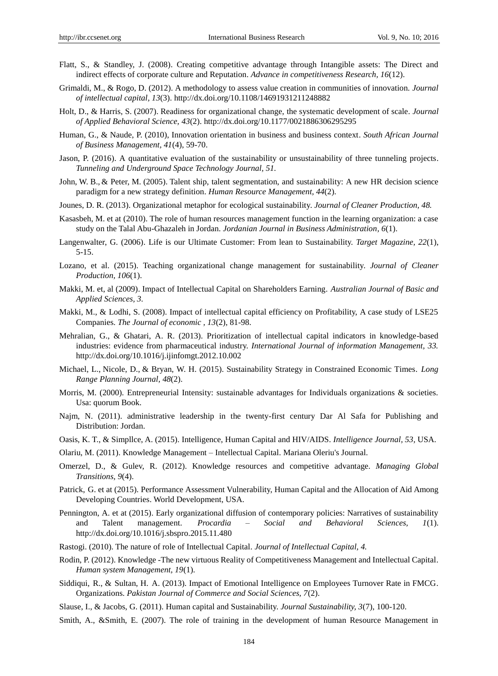- Flatt, S., & Standley, J. (2008). Creating competitive advantage through Intangible assets: The Direct and indirect effects of corporate culture and Reputation. *Advance in competitiveness Research, 16*(12).
- Grimaldi, M., & Rogo, D. (2012). A methodology to assess value creation in communities of innovation. *Journal of intellectual capital, 13*(3). <http://dx.doi.org/10.1108/14691931211248882>
- Holt, D., & Harris, S. (2007). Readiness for organizational change, the systematic development of scale. *Journal of Applied Behavioral Science, 43*(2). <http://dx.doi.org/10.1177/0021886306295295>
- Human, G., & Naude, P. (2010), Innovation orientation in business and business context. *South African Journal of Business Management, 41*(4), 59-70.
- Jason, P. (2016). A quantitative evaluation of the sustainability or unsustainability of three tunneling projects. *Tunneling and [Underground](http://www.sciencedirect.com/science/journal/08867798) Space Technology Journal, 51.*
- John, W. B., & Peter, M. (2005). Talent ship, talent segmentation, and sustainability: A new HR decision science paradigm for a new strategy definition. *Human Resource [Management,](http://onlinelibrary.wiley.com/subject/code/BA50/titles) 44*[\(2\)](http://onlinelibrary.wiley.com/doi/10.1002/hrm.v44:2/issuetoc).
- Jounes, D. R. (2013). Organizational metaphor for ecological sustainability. *Journal of Cleaner Production, 48.*
- Kasasbeh, M. et at (2010). The role of human resources management function in the learning organization: a case study on the Talal Abu-Ghazaleh in Jordan. *Jordanian Journal in Business Administration, 6*(1).
- Langenwalter, G. (2006). Life is our Ultimate Customer: From lean to Sustainability. *Target Magazine, 22*(1), 5-15.
- Lozano, et al. (2015). Teaching organizational change management for sustainability. *Journal of Cleaner Production, 106*(1).
- Makki, M. et, al (2009). Impact of Intellectual Capital on Shareholders Earning. *Australian Journal of Basic and Applied Sciences, 3.*
- Makki, M., & Lodhi, S. (2008). Impact of intellectual capital efficiency on Profitability, A case study of LSE25 Companies. *The Journal of economic , 13*(2), 81-98.
- Mehralian, G., & Ghatari, A. R. (2013). Prioritization of intellectual capital indicators in knowledge-based industries: evidence from pharmaceutical industry. *International Journal of information Management, 33.* <http://dx.doi.org/10.1016/j.ijinfomgt.2012.10.002>
- Michael, L., Nicole, D., & Bryan, W. H. (2015). Sustainability Strategy in Constrained Economic Times. *Long Range Planning Journal, 48*(2).
- Morris, M. (2000). Entrepreneurial Intensity: sustainable advantages for Individuals organizations & societies. Usa: quorum Book.
- Najm, N. (2011). administrative leadership in the twenty-first century Dar Al Safa for Publishing and Distribution: Jordan.
- Oasis, K. T., & Simpllce, A. (2015). Intelligence, Human Capital and HIV/AIDS. *Intelligence Journal, 53,* USA.
- Olariu, M. (2011). Knowledge Management Intellectual Capital. Mariana Oleriu's Journal.
- Omerzel, D., & Gulev, R. (2012). Knowledge resources and competitive advantage. *Managing Global Transitions, 9*(4).
- Patrick, G. et at (2015). Performance Assessment Vulnerability, Human Capital and the Allocation of Aid Among Developing Countries. World Development, USA.
- Pennington, A. et at (2015). Early organizational diffusion of contemporary policies: Narratives of sustainability and Talent management. *Procardia – Social and Behavioral Sciences, 1*(1). <http://dx.doi.org/10.1016/j.sbspro.2015.11.480>
- Rastogi. (2010). The nature of role of Intellectual Capital. *Journal of Intellectual Capital, 4.*
- Rodin, P. (2012). Knowledge -The new virtuous Reality of Competitiveness Management and Intellectual Capital. *Human system Management, 19*(1).
- Siddiqui, R., & Sultan, H. A. (2013). Impact of Emotional Intelligence on Employees Turnover Rate in FMCG. Organizations. *Pakistan Journal of Commerce and Social Sciences, 7*(2).
- Slause, I., & Jacobs, G. (2011). Human capital and Sustainability. *Journal Sustainability, 3*(7), 100-120.
- Smith, A., &Smith, E. (2007). The role of training in the development of human Resource Management in